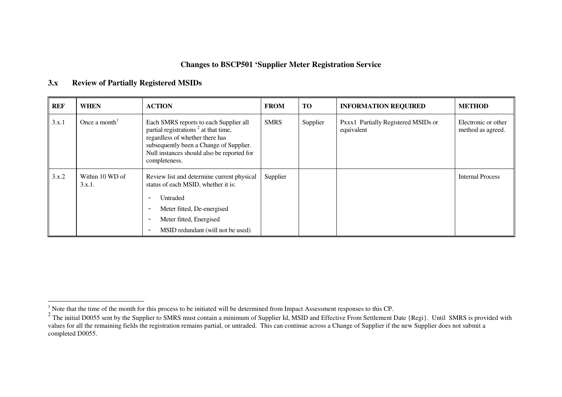## **Changes to BSCP501 'Supplier Meter Registration Service**

#### **3.xReview of Partially Registered MSIDs**

| <b>REF</b> | <b>WHEN</b>               | <b>ACTION</b>                                                                                                                                                                                                                                            | <b>FROM</b> | <b>TO</b> | <b>INFORMATION REQUIRED</b>                       | <b>METHOD</b>                            |
|------------|---------------------------|----------------------------------------------------------------------------------------------------------------------------------------------------------------------------------------------------------------------------------------------------------|-------------|-----------|---------------------------------------------------|------------------------------------------|
| 3.x.1      | Once a month <sup>1</sup> | Each SMRS reports to each Supplier all<br>partial registrations <sup>2</sup> at that time,<br>regardless of whether there has<br>subsequently been a Change of Supplier.<br>Null instances should also be reported for<br>completeness.                  | <b>SMRS</b> | Supplier  | Pxxx1 Partially Registered MSIDs or<br>equivalent | Electronic or other<br>method as agreed. |
| 3.x.2      | Within 10 WD of<br>3.x.1. | Review list and determine current physical<br>status of each MSID, whether it is:<br>Untraded<br>Meter fitted, De-energised<br>-<br>Meter fitted, Energised<br>$\overline{\phantom{a}}$<br>MSID redundant (will not be used)<br>$\overline{\phantom{a}}$ | Supplier    |           |                                                   | <b>Internal Process</b>                  |

<sup>&</sup>lt;sup>1</sup> Note that the time of the month for this process to be initiated will be determined from Impact Assessment responses to this CP.<br><sup>2</sup> The initial D0055 sent by the Supplier to SMRS must contain a minimum of Supplier Id values for all the remaining fields the registration remains partial, or untraded. This can continue across <sup>a</sup> Change of Supplier if the new Supplier does not submit <sup>a</sup> completed D0055.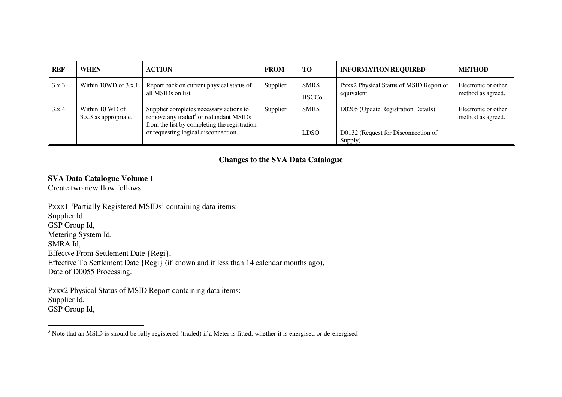| <b>REF</b> | <b>WHEN</b>                              | <b>ACTION</b>                                                                                                                                                                        | <b>FROM</b> | <b>TO</b>                   | <b>INFORMATION REQUIRED</b>                                                | <b>METHOD</b>                            |
|------------|------------------------------------------|--------------------------------------------------------------------------------------------------------------------------------------------------------------------------------------|-------------|-----------------------------|----------------------------------------------------------------------------|------------------------------------------|
| 3.x.3      | Within 10WD of 3.x.1                     | Report back on current physical status of<br>all MSIDs on list                                                                                                                       | Supplier    | <b>SMRS</b><br><b>BSCCo</b> | Pxxx2 Physical Status of MSID Report or<br>equivalent                      | Electronic or other<br>method as agreed. |
| 3.x.4      | Within 10 WD of<br>3.x.3 as appropriate. | Supplier completes necessary actions to<br>remove any traded <sup>3</sup> or redundant MSIDs<br>from the list by completing the registration<br>or requesting logical disconnection. | Supplier    | <b>SMRS</b><br><b>LDSO</b>  | D0205 (Update Registration Details)<br>D0132 (Request for Disconnection of | Electronic or other<br>method as agreed. |
|            |                                          |                                                                                                                                                                                      |             |                             | Supply)                                                                    |                                          |

# **Changes to the SVA Data Catalogue**

### **SVA Data Catalogue Volume 1**

Create two new flow follows:

Pxxx1 'Partially Registered MSIDs' containing data items: Supplier Id, GSP Group Id, Metering System Id, SMRA Id, Effectve From Settlement Date {Regi}, Effective To Settlement Date {Regi} (if known and if less than 14 calendar months ago), Date of D0055 Processing.

Pxxx2 Physical Status of MSID Report containing data items: Supplier Id, GSP Group Id,

 $3$  Note that an MSID is should be fully registered (traded) if a Meter is fitted, whether it is energised or de-energised